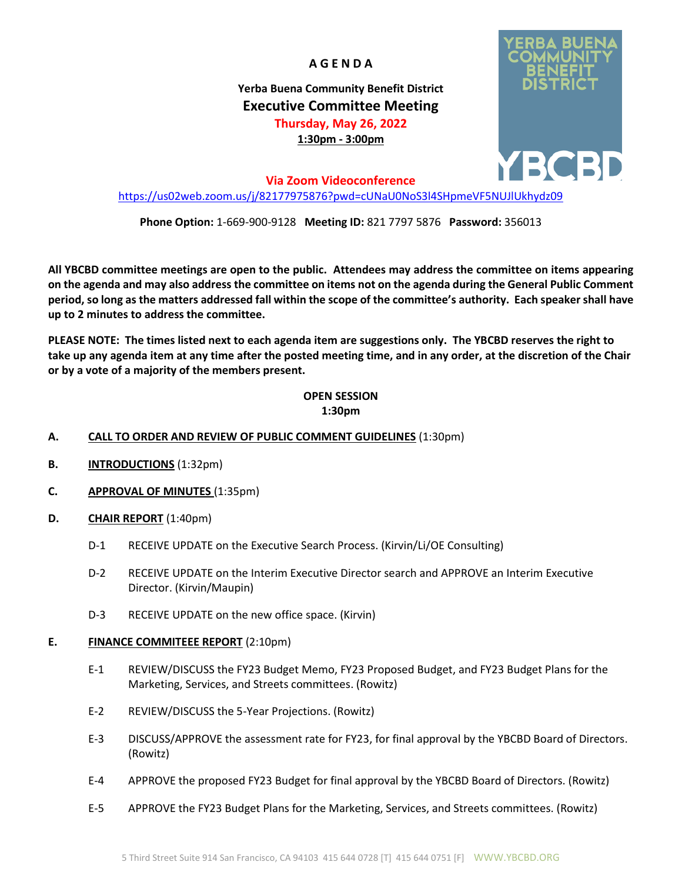**A G E N D A**

**Yerba Buena Community Benefit District Executive Committee Meeting Thursday, May 26, 2022 1:30pm - 3:00pm**

**Via Zoom Videoconference**

<https://us02web.zoom.us/j/82177975876?pwd=cUNaU0NoS3l4SHpmeVF5NUJlUkhydz09>

**Phone Option:** 1-669-900-9128 **Meeting ID:** 821 7797 5876 **Password:** 356013

**All YBCBD committee meetings are open to the public. Attendees may address the committee on items appearing on the agenda and may also address the committee on items not on the agenda during the General Public Comment period, so long as the matters addressed fall within the scope of the committee's authority. Each speaker shall have up to 2 minutes to address the committee.**

**PLEASE NOTE: The times listed next to each agenda item are suggestions only. The YBCBD reserves the right to take up any agenda item at any time after the posted meeting time, and in any order, at the discretion of the Chair or by a vote of a majority of the members present.**

# **OPEN SESSION**

# **1:30pm**

# **A. CALL TO ORDER AND REVIEW OF PUBLIC COMMENT GUIDELINES** (1:30pm)

- **B. INTRODUCTIONS** (1:32pm)
- **C. APPROVAL OF MINUTES** (1:35pm)
- **D. CHAIR REPORT** (1:40pm)
	- D-1 RECEIVE UPDATE on the Executive Search Process. (Kirvin/Li/OE Consulting)
	- D-2 RECEIVE UPDATE on the Interim Executive Director search and APPROVE an Interim Executive Director. (Kirvin/Maupin)
	- D-3 RECEIVE UPDATE on the new office space. (Kirvin)

## **E. FINANCE COMMITEEE REPORT** (2:10pm)

- E-1 REVIEW/DISCUSS the FY23 Budget Memo, FY23 Proposed Budget, and FY23 Budget Plans for the Marketing, Services, and Streets committees. (Rowitz)
- E-2 REVIEW/DISCUSS the 5-Year Projections. (Rowitz)
- E-3 DISCUSS/APPROVE the assessment rate for FY23, for final approval by the YBCBD Board of Directors. (Rowitz)
- E-4 APPROVE the proposed FY23 Budget for final approval by the YBCBD Board of Directors. (Rowitz)
- E-5 APPROVE the FY23 Budget Plans for the Marketing, Services, and Streets committees. (Rowitz)